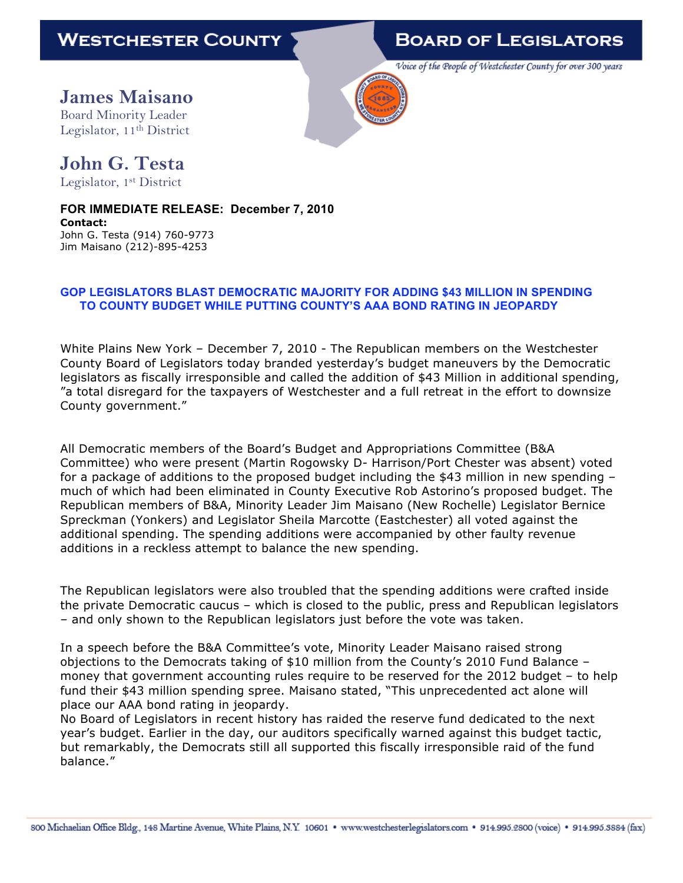## **BOARD OF LEGISLATORS**

Voice of the People of Westchester County for over 300 years

**James Maisano** Board Minority Leader Legislator, 11<sup>th</sup> District



## **John G. Testa**

Legislator, 1st District

**FOR IMMEDIATE RELEASE: December 7, 2010 Contact:** John G. Testa (914) 760-9773 Jim Maisano (212)-895-4253

## **GOP LEGISLATORS BLAST DEMOCRATIC MAJORITY FOR ADDING \$43 MILLION IN SPENDING TO COUNTY BUDGET WHILE PUTTING COUNTY'S AAA BOND RATING IN JEOPARDY**

White Plains New York – December 7, 2010 - The Republican members on the Westchester County Board of Legislators today branded yesterday's budget maneuvers by the Democratic legislators as fiscally irresponsible and called the addition of \$43 Million in additional spending, "a total disregard for the taxpayers of Westchester and a full retreat in the effort to downsize County government."

All Democratic members of the Board's Budget and Appropriations Committee (B&A Committee) who were present (Martin Rogowsky D- Harrison/Port Chester was absent) voted for a package of additions to the proposed budget including the \$43 million in new spending – much of which had been eliminated in County Executive Rob Astorino's proposed budget. The Republican members of B&A, Minority Leader Jim Maisano (New Rochelle) Legislator Bernice Spreckman (Yonkers) and Legislator Sheila Marcotte (Eastchester) all voted against the additional spending. The spending additions were accompanied by other faulty revenue additions in a reckless attempt to balance the new spending.

The Republican legislators were also troubled that the spending additions were crafted inside the private Democratic caucus – which is closed to the public, press and Republican legislators – and only shown to the Republican legislators just before the vote was taken.

In a speech before the B&A Committee's vote, Minority Leader Maisano raised strong objections to the Democrats taking of \$10 million from the County's 2010 Fund Balance – money that government accounting rules require to be reserved for the 2012 budget – to help fund their \$43 million spending spree. Maisano stated, "This unprecedented act alone will place our AAA bond rating in jeopardy.

No Board of Legislators in recent history has raided the reserve fund dedicated to the next year's budget. Earlier in the day, our auditors specifically warned against this budget tactic, but remarkably, the Democrats still all supported this fiscally irresponsible raid of the fund balance."